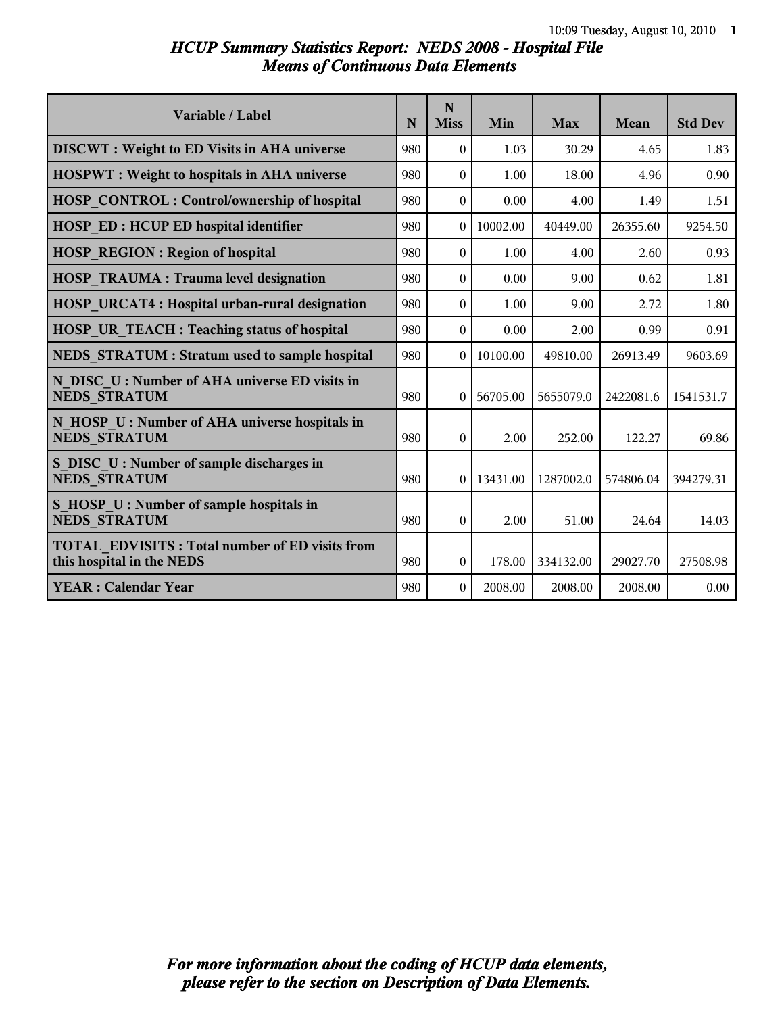# *HCUP Summary Statistics Report: NEDS 2008 - Hospital File Means of Continuous Data Elements*

| Variable / Label                                                                   | N   | N<br><b>Miss</b> | Min      | <b>Max</b> | Mean      | <b>Std Dev</b> |
|------------------------------------------------------------------------------------|-----|------------------|----------|------------|-----------|----------------|
| <b>DISCWT</b> : Weight to ED Visits in AHA universe                                | 980 | $\Omega$         | 1.03     | 30.29      | 4.65      | 1.83           |
| <b>HOSPWT</b> : Weight to hospitals in AHA universe                                | 980 | $\Omega$         | 1.00     | 18.00      | 4.96      | 0.90           |
| <b>HOSP CONTROL: Control/ownership of hospital</b>                                 | 980 | $\theta$         | 0.00     | 4.00       | 1.49      | 1.51           |
| <b>HOSP ED: HCUP ED hospital identifier</b>                                        | 980 | 0                | 10002.00 | 40449.00   | 26355.60  | 9254.50        |
| <b>HOSP REGION: Region of hospital</b>                                             | 980 | $\Omega$         | 1.00     | 4.00       | 2.60      | 0.93           |
| <b>HOSP TRAUMA: Trauma level designation</b>                                       | 980 | $\theta$         | 0.00     | 9.00       | 0.62      | 1.81           |
| HOSP URCAT4 : Hospital urban-rural designation                                     | 980 | $\Omega$         | 1.00     | 9.00       | 2.72      | 1.80           |
| <b>HOSP UR TEACH: Teaching status of hospital</b>                                  | 980 | $\Omega$         | 0.00     | 2.00       | 0.99      | 0.91           |
| NEDS STRATUM : Stratum used to sample hospital                                     | 980 | $\Omega$         | 10100.00 | 49810.00   | 26913.49  | 9603.69        |
| N DISC U: Number of AHA universe ED visits in<br><b>NEDS STRATUM</b>               | 980 | $\overline{0}$   | 56705.00 | 5655079.0  | 2422081.6 | 1541531.7      |
| N HOSP U: Number of AHA universe hospitals in<br><b>NEDS STRATUM</b>               | 980 | $\theta$         | 2.00     | 252.00     | 122.27    | 69.86          |
| S DISC U: Number of sample discharges in<br><b>NEDS STRATUM</b>                    | 980 | $\overline{0}$   | 13431.00 | 1287002.0  | 574806.04 | 394279.31      |
| S HOSP U : Number of sample hospitals in<br><b>NEDS STRATUM</b>                    | 980 | $\theta$         | 2.00     | 51.00      | 24.64     | 14.03          |
| <b>TOTAL EDVISITS: Total number of ED visits from</b><br>this hospital in the NEDS | 980 | $\Omega$         | 178.00   | 334132.00  | 29027.70  | 27508.98       |
| <b>YEAR: Calendar Year</b>                                                         | 980 | $\Omega$         | 2008.00  | 2008.00    | 2008.00   | 0.00           |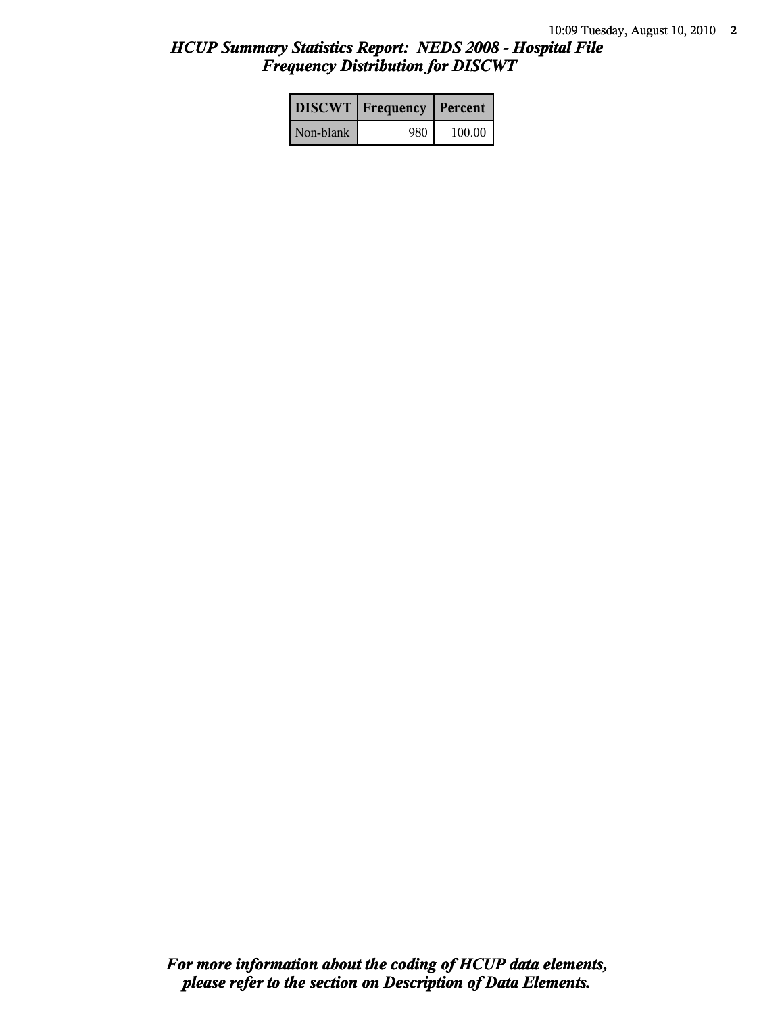# *HCUP Summary Statistics Report: NEDS 2008 - Hospital File Frequency Distribution for DISCWT*

|           | <b>DISCWT</b>   Frequency   Percent |        |
|-----------|-------------------------------------|--------|
| Non-blank | 980                                 | 100.00 |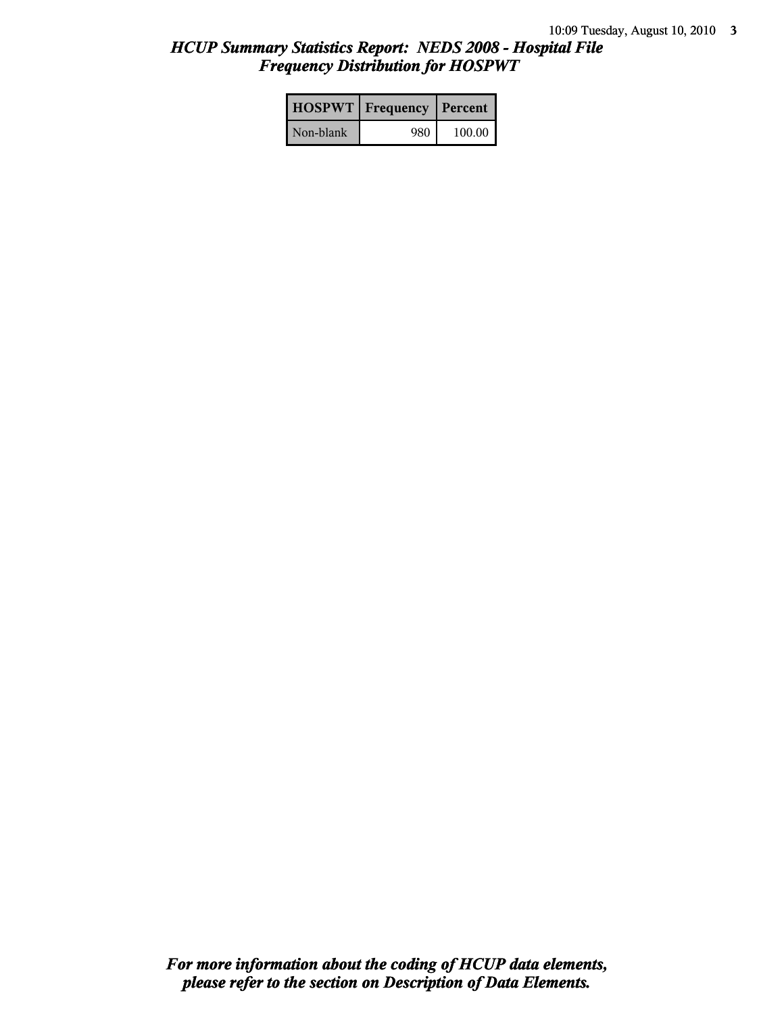# *HCUP Summary Statistics Report: NEDS 2008 - Hospital File Frequency Distribution for HOSPWT*

|           | <b>HOSPWT</b>   Frequency   Percent |        |
|-----------|-------------------------------------|--------|
| Non-blank | 980                                 | 100.00 |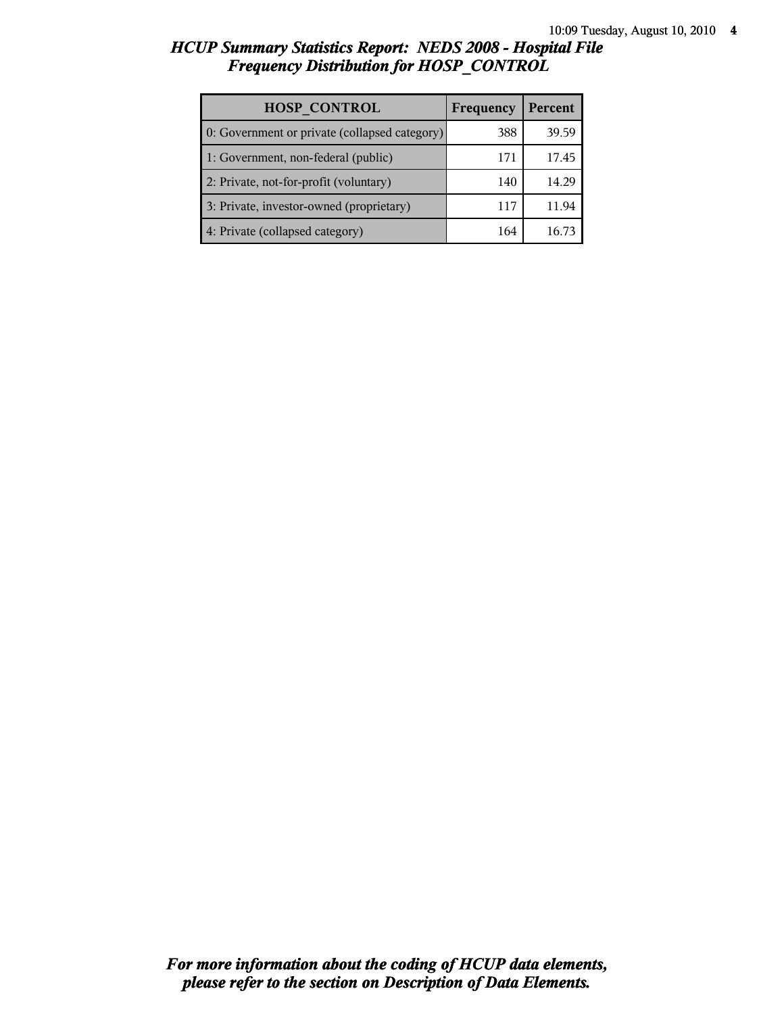# *HCUP Summary Statistics Report: NEDS 2008 - Hospital File Frequency Distribution for HOSP\_CONTROL*

| <b>HOSP CONTROL</b>                           | Frequency | Percent |
|-----------------------------------------------|-----------|---------|
| 0: Government or private (collapsed category) | 388       | 39.59   |
| 1: Government, non-federal (public)           | 171       | 17.45   |
| 2: Private, not-for-profit (voluntary)        | 140       | 14.29   |
| 3: Private, investor-owned (proprietary)      | 117       | 11.94   |
| 4: Private (collapsed category)               | 164       | 16.7    |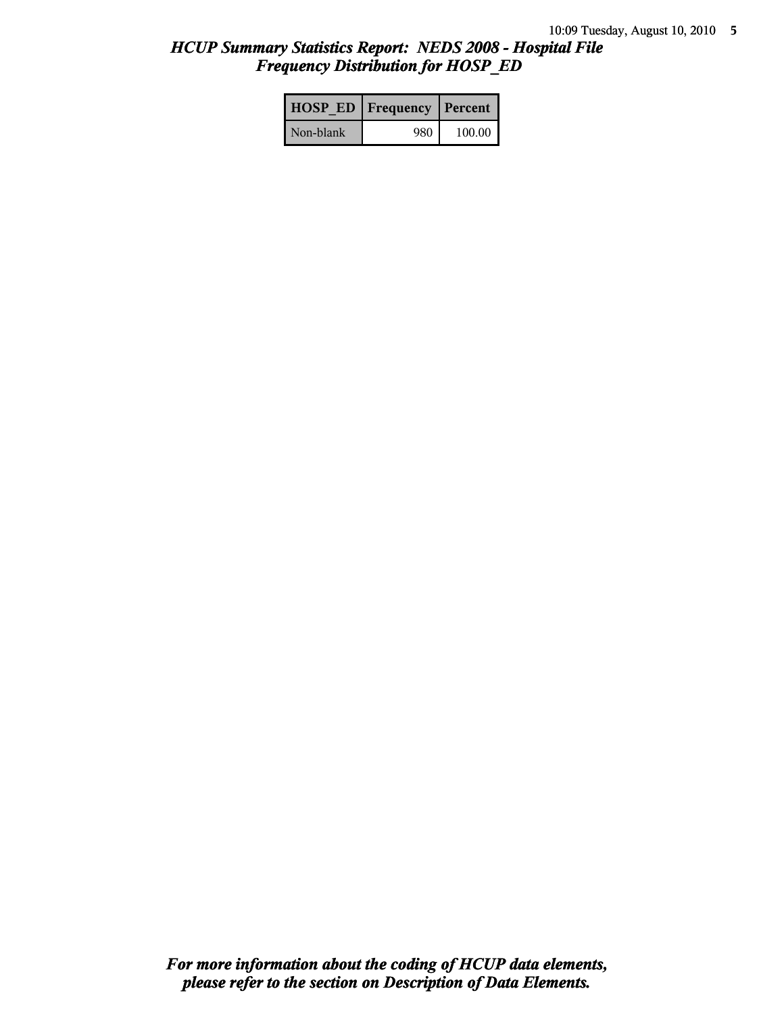# *HCUP Summary Statistics Report: NEDS 2008 - Hospital File Frequency Distribution for HOSP\_ED*

|           | <b>HOSP ED   Frequency   Percent  </b> |        |
|-----------|----------------------------------------|--------|
| Non-blank | 980                                    | 100.00 |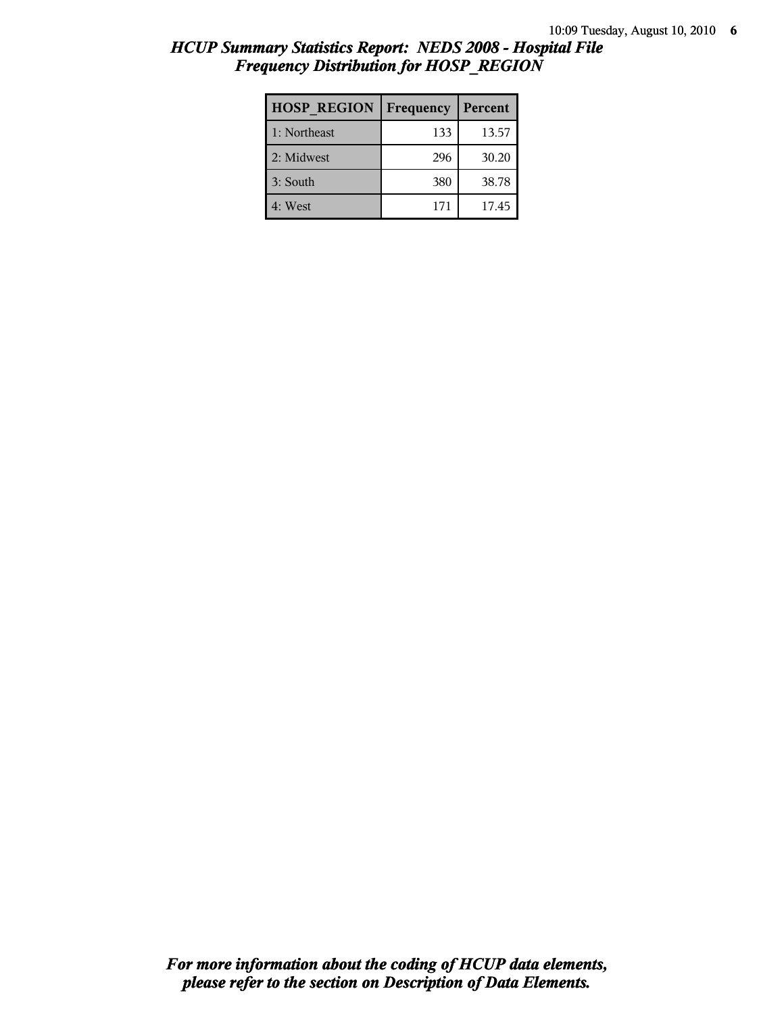| <b>HOSP REGION</b> | Frequency | Percent |
|--------------------|-----------|---------|
| 1: Northeast       | 133       | 13.57   |
| 2: Midwest         | 296       | 30.20   |
| 3: South           | 380       | 38.78   |
| 4: West            | 171       | 17.45   |

# *HCUP Summary Statistics Report: NEDS 2008 - Hospital File Frequency Distribution for HOSP\_REGION*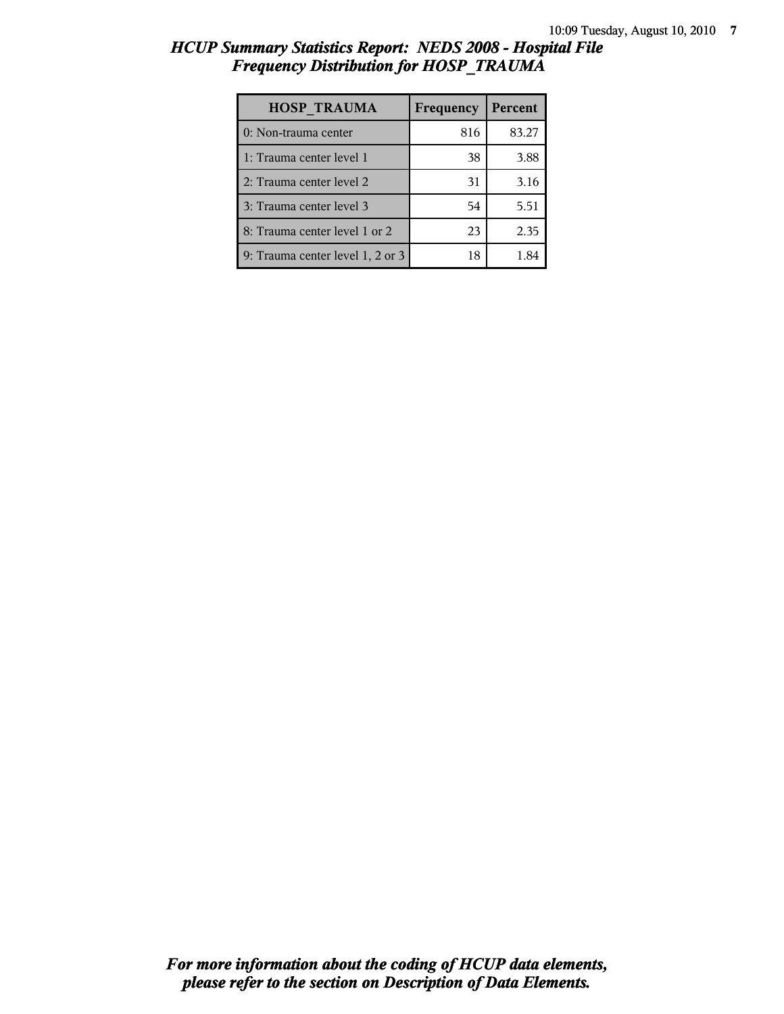# *HCUP Summary Statistics Report: NEDS 2008 - Hospital File Frequency Distribution for HOSP\_TRAUMA*

| <b>HOSP TRAUMA</b>               | Frequency | Percent |
|----------------------------------|-----------|---------|
| 0: Non-trauma center             | 816       | 83.27   |
| 1: Trauma center level 1         | 38        | 3.88    |
| 2: Trauma center level 2         | 31        | 3.16    |
| 3: Trauma center level 3         | 54        | 5.51    |
| 8: Trauma center level 1 or 2    | 23        | 2.35    |
| 9: Trauma center level 1, 2 or 3 | 18        |         |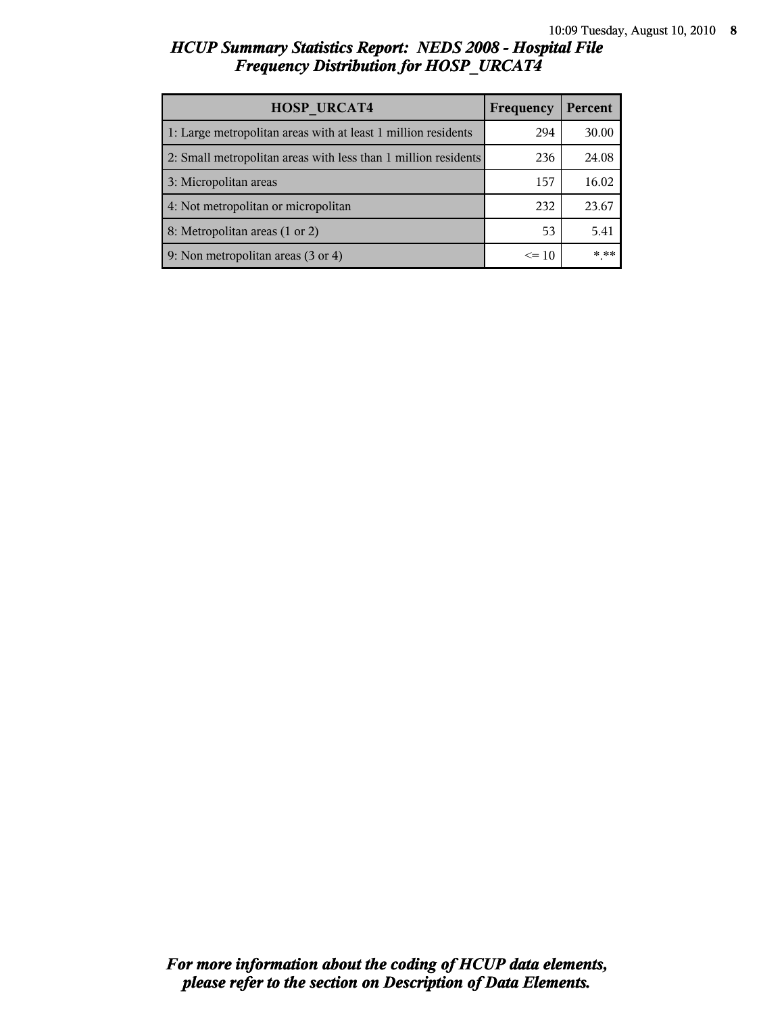# *HCUP Summary Statistics Report: NEDS 2008 - Hospital File Frequency Distribution for HOSP\_URCAT4*

| <b>HOSP URCAT4</b>                                             | Frequency | Percent |
|----------------------------------------------------------------|-----------|---------|
| 1: Large metropolitan areas with at least 1 million residents  | 294       | 30.00   |
| 2: Small metropolitan areas with less than 1 million residents | 236       | 24.08   |
| 3: Micropolitan areas                                          | 157       | 16.02   |
| 4: Not metropolitan or micropolitan                            | 232       | 23.67   |
| 8: Metropolitan areas (1 or 2)                                 | 53        | 5.41    |
| 9: Non metropolitan areas (3 or 4)                             | $\leq 10$ | * **    |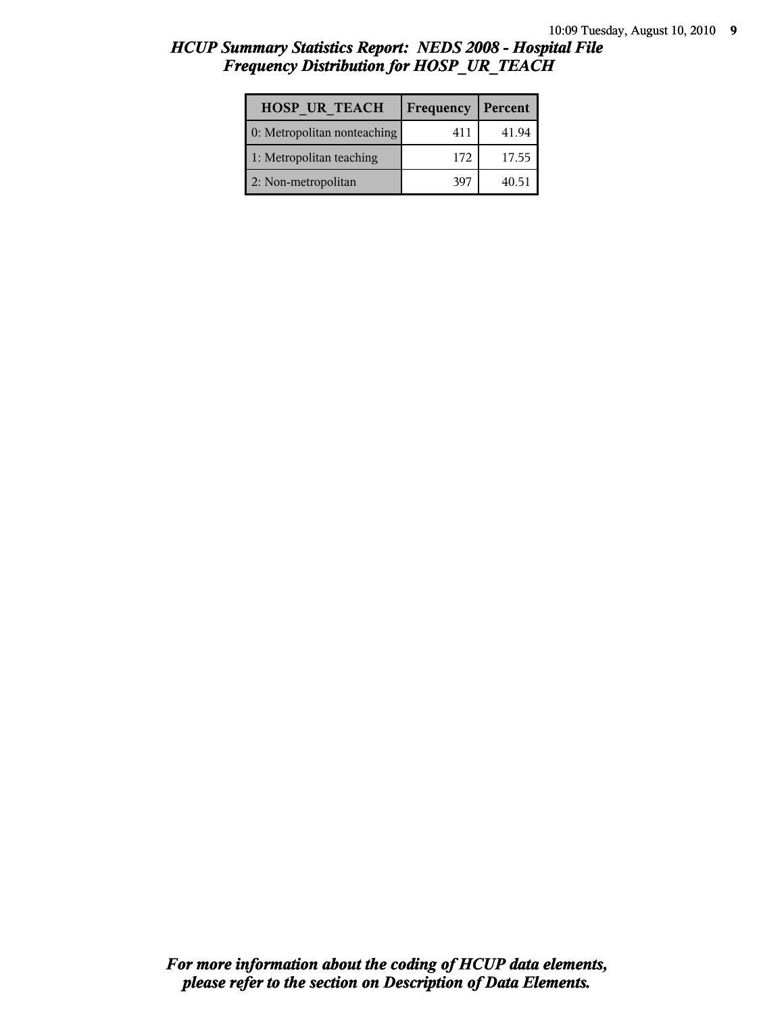# *HCUP Summary Statistics Report: NEDS 2008 - Hospital File Frequency Distribution for HOSP\_UR\_TEACH*

| <b>HOSP UR TEACH</b>        | Frequency | Percent |
|-----------------------------|-----------|---------|
| 0: Metropolitan nonteaching | 411       | 41.94   |
| 1: Metropolitan teaching    | 172       | 17.55   |
| 2: Non-metropolitan         | 397       | 40.51   |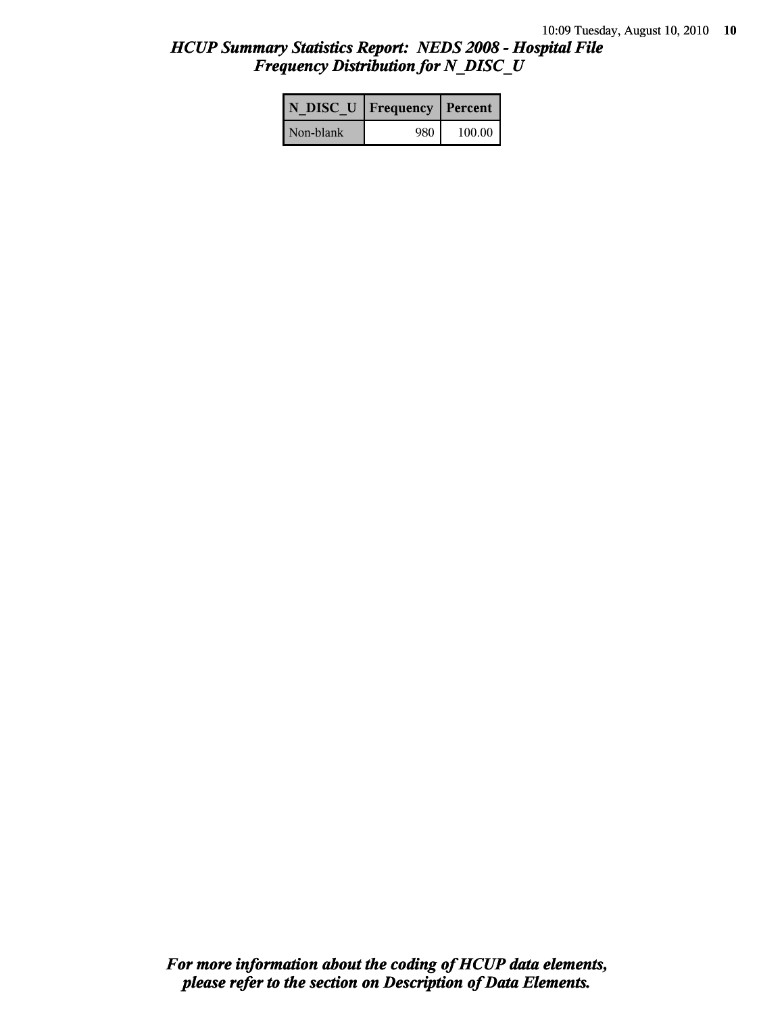# *HCUP Summary Statistics Report: NEDS 2008 - Hospital File Frequency Distribution for N\_DISC\_U*

|           | N DISC U   Frequency   Percent |          |
|-----------|--------------------------------|----------|
| Non-blank | 980                            | $100.00$ |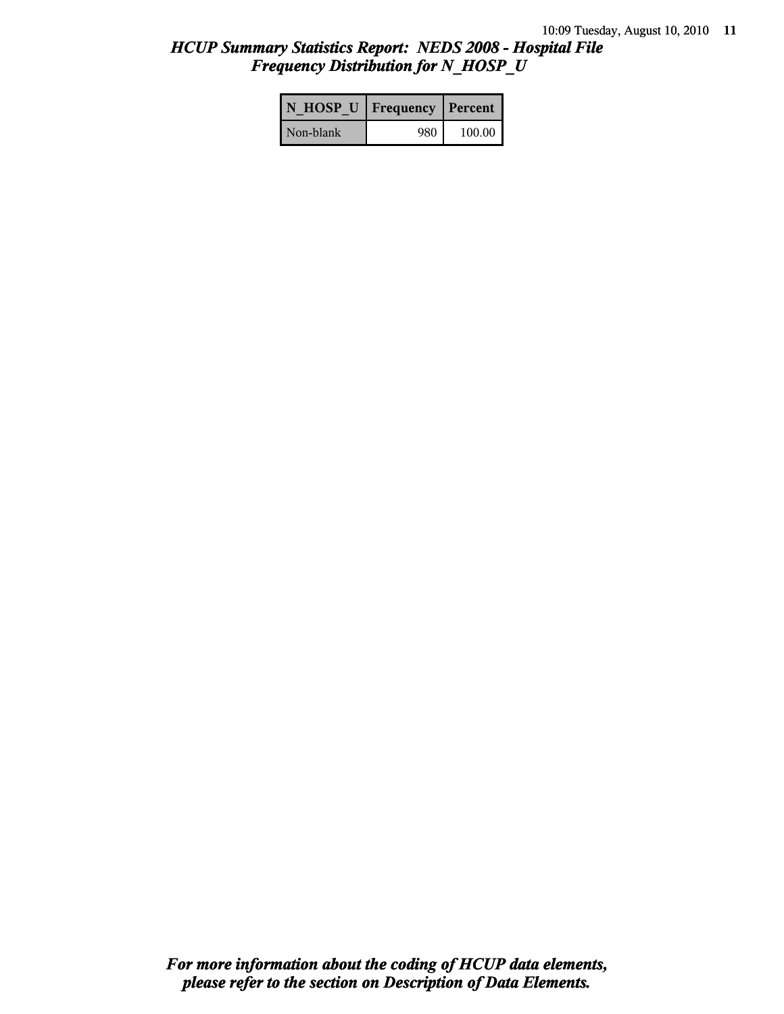# *HCUP Summary Statistics Report: NEDS 2008 - Hospital File Frequency Distribution for N\_HOSP\_U*

| N HOSP U   Frequency   Percent |     |        |
|--------------------------------|-----|--------|
| Non-blank                      | 980 | 100.00 |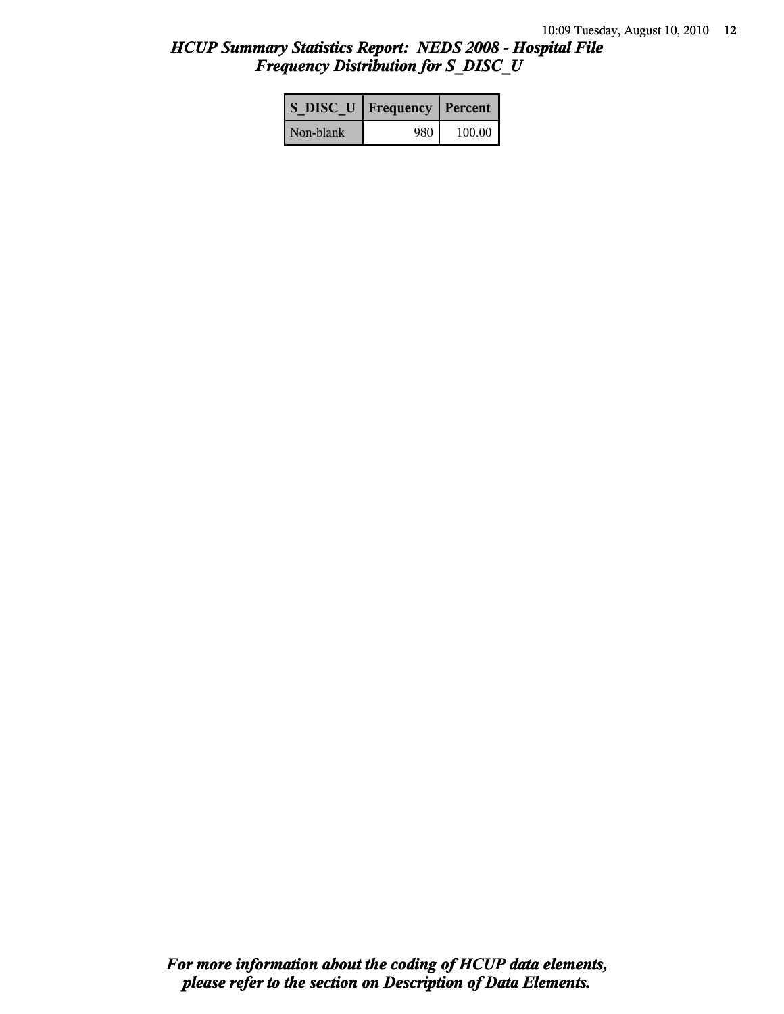# *HCUP Summary Statistics Report: NEDS 2008 - Hospital File Frequency Distribution for S\_DISC\_U*

| S DISC U   Frequency   Percent |      |        |
|--------------------------------|------|--------|
| Non-blank                      | 980- | 100.00 |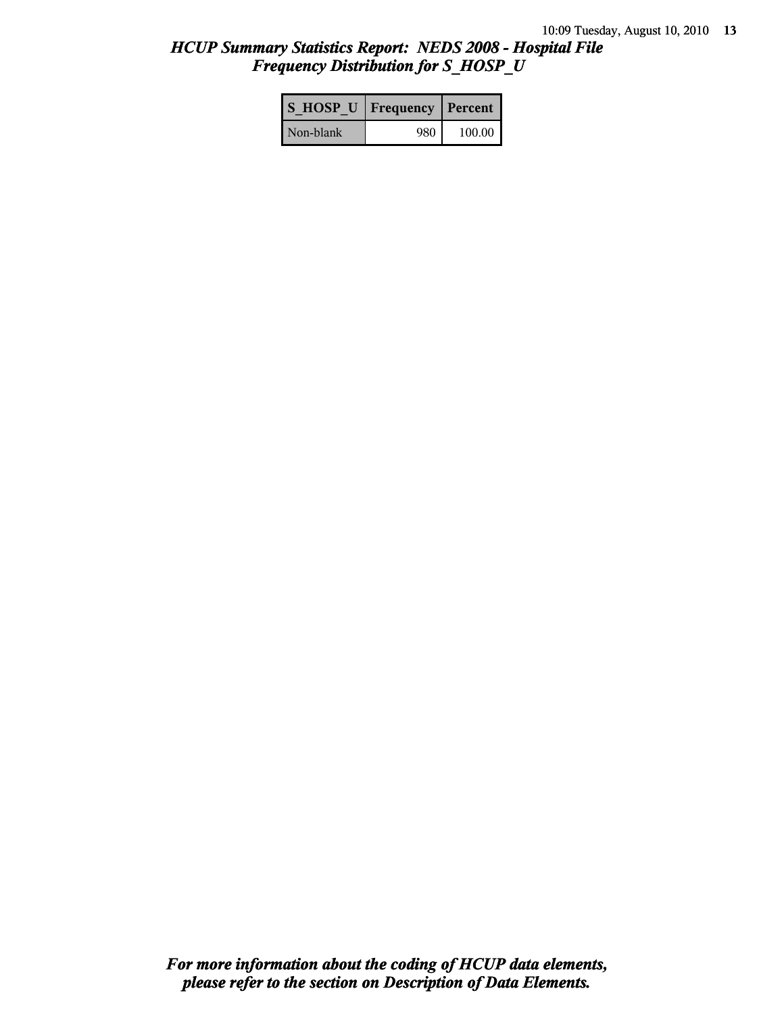# *HCUP Summary Statistics Report: NEDS 2008 - Hospital File Frequency Distribution for S\_HOSP\_U*

| S HOSP U   Frequency   Percent |     |          |
|--------------------------------|-----|----------|
| Non-blank                      | 980 | $100.00$ |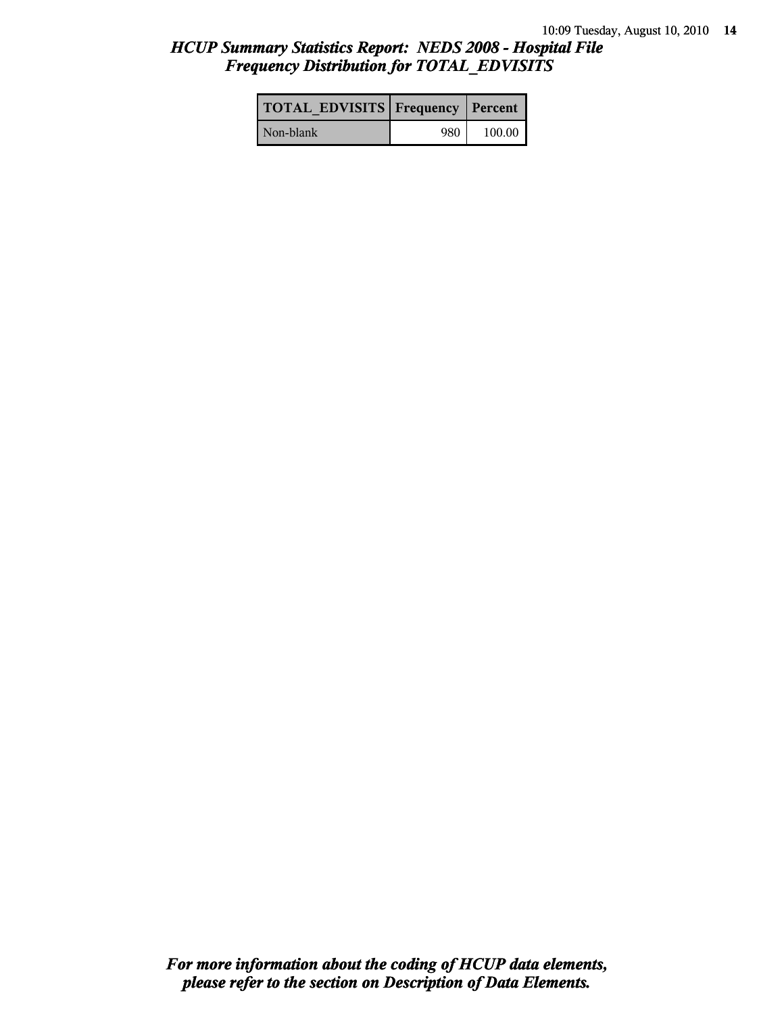# *HCUP Summary Statistics Report: NEDS 2008 - Hospital File Frequency Distribution for TOTAL\_EDVISITS*

| <b>TOTAL EDVISITS Frequency Percent</b> |     |        |
|-----------------------------------------|-----|--------|
| Non-blank                               | 980 | 100.00 |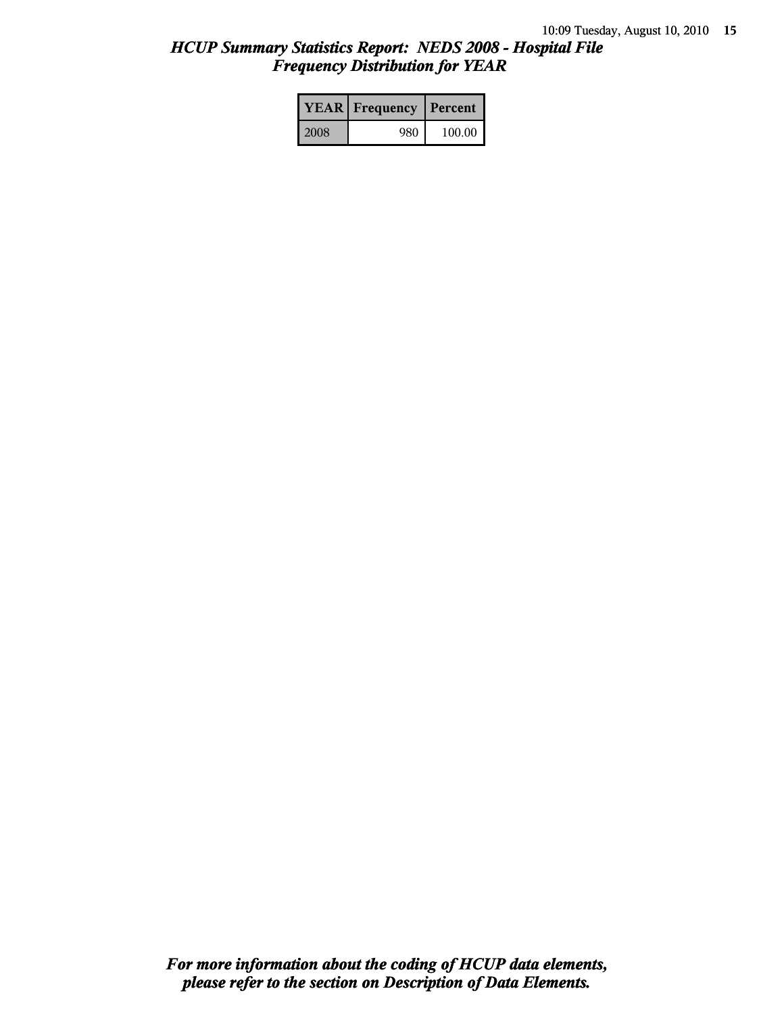# *HCUP Summary Statistics Report: NEDS 2008 - Hospital File Frequency Distribution for YEAR*

|      | <b>YEAR</b> Frequency | Percent |  |
|------|-----------------------|---------|--|
| 2008 | 980                   | 100.00  |  |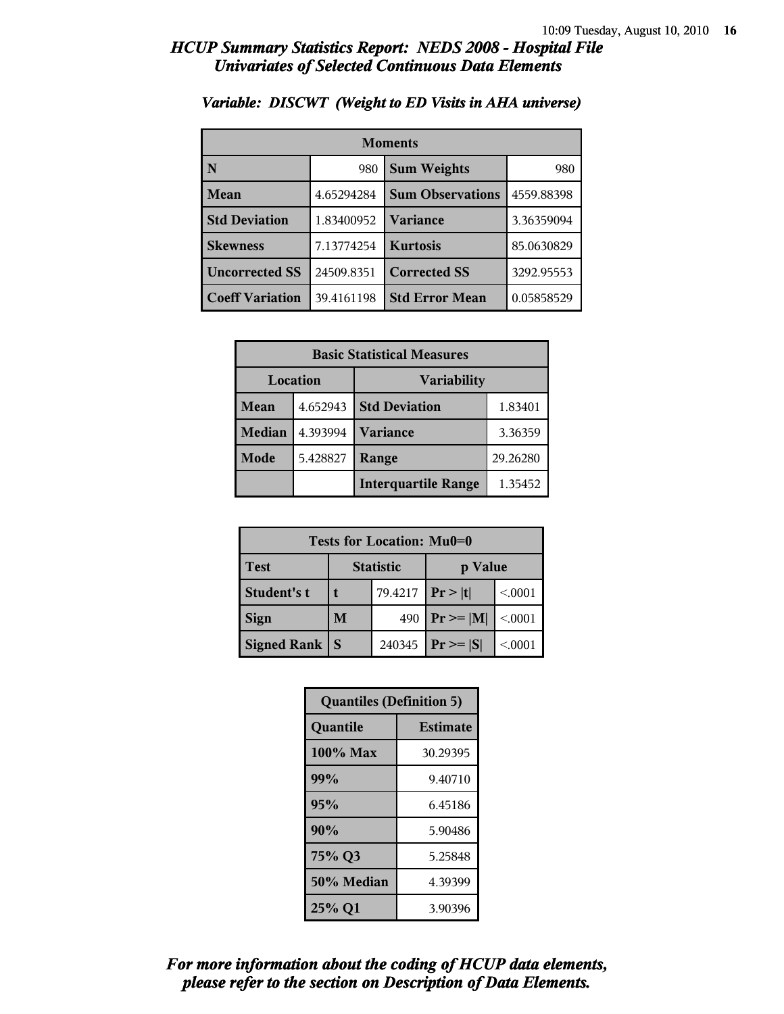| <b>Moments</b>         |            |                         |            |
|------------------------|------------|-------------------------|------------|
| N                      | 980        | <b>Sum Weights</b>      | 980        |
| Mean                   | 4.65294284 | <b>Sum Observations</b> | 4559.88398 |
| <b>Std Deviation</b>   | 1.83400952 | Variance                | 3.36359094 |
| <b>Skewness</b>        | 7.13774254 | <b>Kurtosis</b>         | 85.0630829 |
| <b>Uncorrected SS</b>  | 24509.8351 | <b>Corrected SS</b>     | 3292.95553 |
| <b>Coeff Variation</b> | 39.4161198 | <b>Std Error Mean</b>   | 0.05858529 |

## *Variable: DISCWT (Weight to ED Visits in AHA universe)*

| <b>Basic Statistical Measures</b> |          |                            |          |
|-----------------------------------|----------|----------------------------|----------|
| Location                          |          | <b>Variability</b>         |          |
| <b>Mean</b>                       | 4.652943 | <b>Std Deviation</b>       | 1.83401  |
| <b>Median</b>                     | 4.393994 | <b>Variance</b>            | 3.36359  |
| Mode                              | 5.428827 | Range                      | 29.26280 |
|                                   |          | <b>Interquartile Range</b> | 1.35452  |

| Tests for Location: Mu0=0 |                             |         |                |         |
|---------------------------|-----------------------------|---------|----------------|---------|
| <b>Test</b>               | <b>Statistic</b><br>p Value |         |                |         |
| Student's t               |                             | 79.4217 | Pr >  t        | < 0001  |
| <b>Sign</b>               | M                           | 490     | $Pr \ge =  M $ | < 0.001 |
| <b>Signed Rank</b>        | S                           | 240345  | $Pr \geq  S $  | < 0001  |

| <b>Quantiles (Definition 5)</b> |                 |  |
|---------------------------------|-----------------|--|
| Quantile                        | <b>Estimate</b> |  |
| $100\%$ Max                     | 30.29395        |  |
| 99%                             | 9.40710         |  |
| 95%                             | 6.45186         |  |
| 90%                             | 5.90486         |  |
| 75% Q3                          | 5.25848         |  |
| 50% Median                      | 4.39399         |  |
| 25% Q1                          | 3.90396         |  |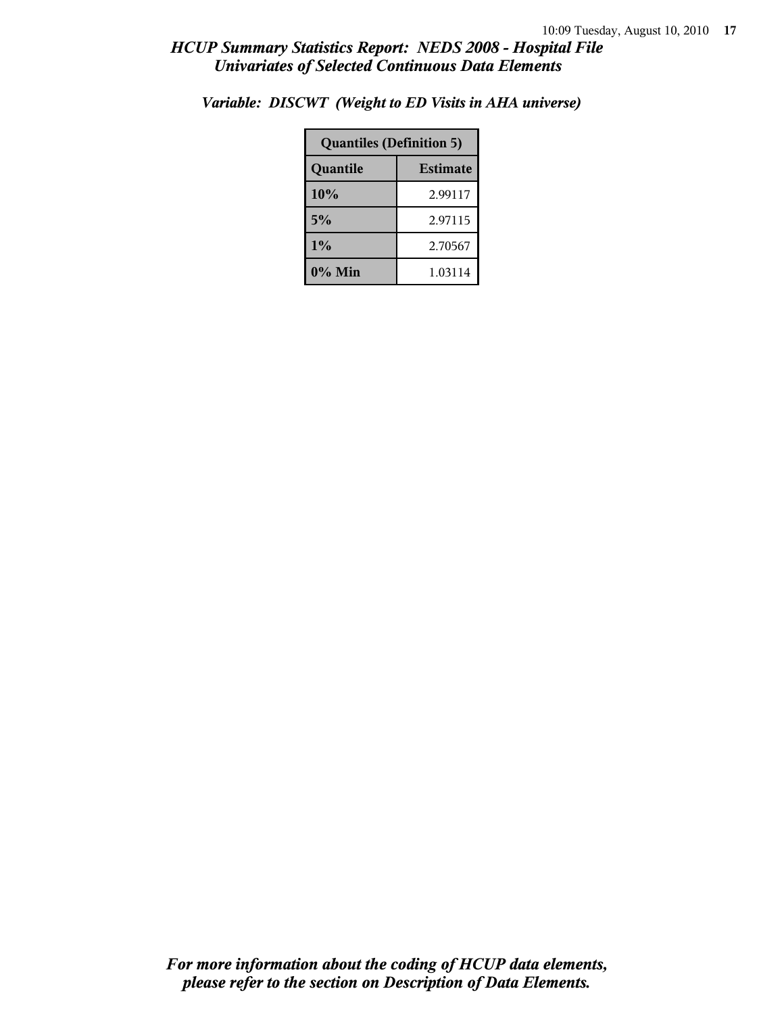| <b>Quantiles (Definition 5)</b> |         |  |
|---------------------------------|---------|--|
| <b>Estimate</b><br>Quantile     |         |  |
| 10%                             | 2.99117 |  |
| 5%                              | 2.97115 |  |
| 1%<br>2.70567                   |         |  |
| $0\%$ Min                       | 1.03114 |  |

*Variable: DISCWT (Weight to ED Visits in AHA universe)*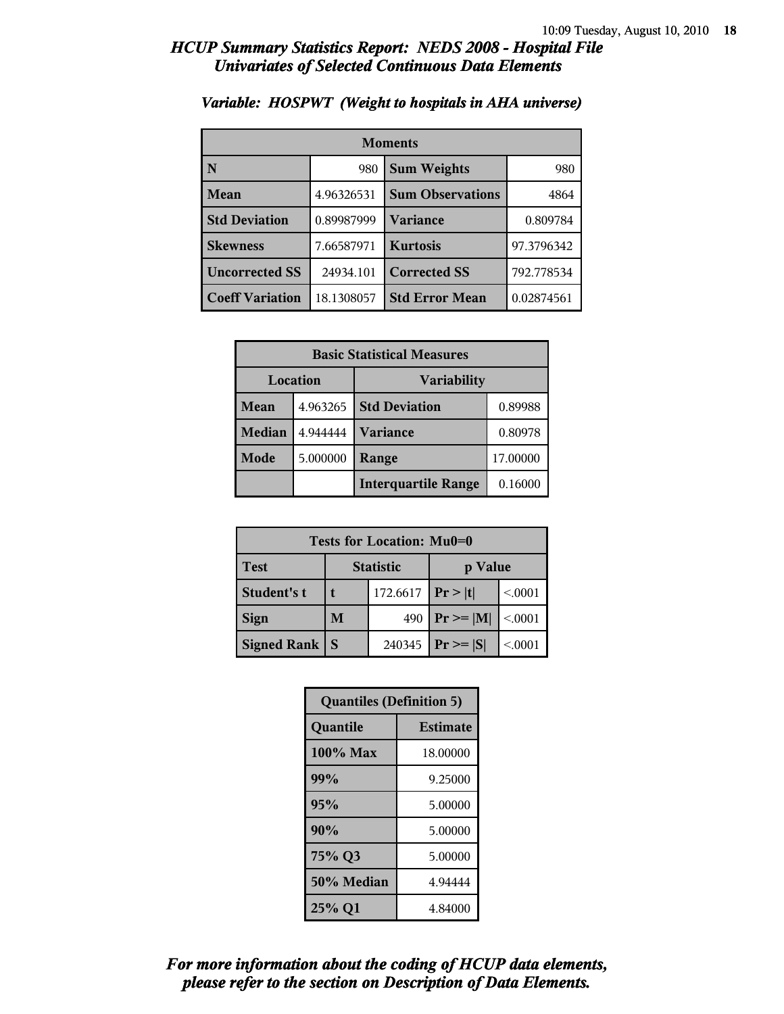| <b>Moments</b>         |                           |                         |            |
|------------------------|---------------------------|-------------------------|------------|
| N                      | <b>Sum Weights</b><br>980 |                         | 980        |
| Mean                   | 4.96326531                | <b>Sum Observations</b> | 4864       |
| <b>Std Deviation</b>   | 0.89987999                | Variance                | 0.809784   |
| <b>Skewness</b>        | 7.66587971                | <b>Kurtosis</b>         | 97.3796342 |
| <b>Uncorrected SS</b>  | 24934.101                 | <b>Corrected SS</b>     | 792.778534 |
| <b>Coeff Variation</b> | 18.1308057                | <b>Std Error Mean</b>   | 0.02874561 |

## *Variable: HOSPWT (Weight to hospitals in AHA universe)*

| <b>Basic Statistical Measures</b> |          |                            |          |
|-----------------------------------|----------|----------------------------|----------|
| Location                          |          | <b>Variability</b>         |          |
| <b>Mean</b>                       | 4.963265 | <b>Std Deviation</b>       | 0.89988  |
| <b>Median</b>                     | 4.944444 | <b>Variance</b>            | 0.80978  |
| Mode                              | 5.000000 | Range                      | 17.00000 |
|                                   |          | <b>Interquartile Range</b> | 0.16000  |

| Tests for Location: Mu0=0 |                             |        |                  |         |
|---------------------------|-----------------------------|--------|------------------|---------|
| <b>Test</b>               | <b>Statistic</b><br>p Value |        |                  |         |
| Student's t               | 172.6617<br>t               |        | Pr >  t          | < 0001  |
| <b>Sign</b>               | M                           | 490    | $\Pr \geq =  M $ | < 0.001 |
| <b>Signed Rank</b>        | S                           | 240345 | $Pr \geq  S $    | < 0001  |

| <b>Quantiles (Definition 5)</b> |                 |  |
|---------------------------------|-----------------|--|
| Quantile                        | <b>Estimate</b> |  |
| 100% Max                        | 18.00000        |  |
| 99%                             | 9.25000         |  |
| 95%                             | 5.00000         |  |
| 90%                             | 5.00000         |  |
| 75% Q3                          | 5.00000         |  |
| 50% Median                      | 4.94444         |  |
| 25% Q1                          | 4.84000         |  |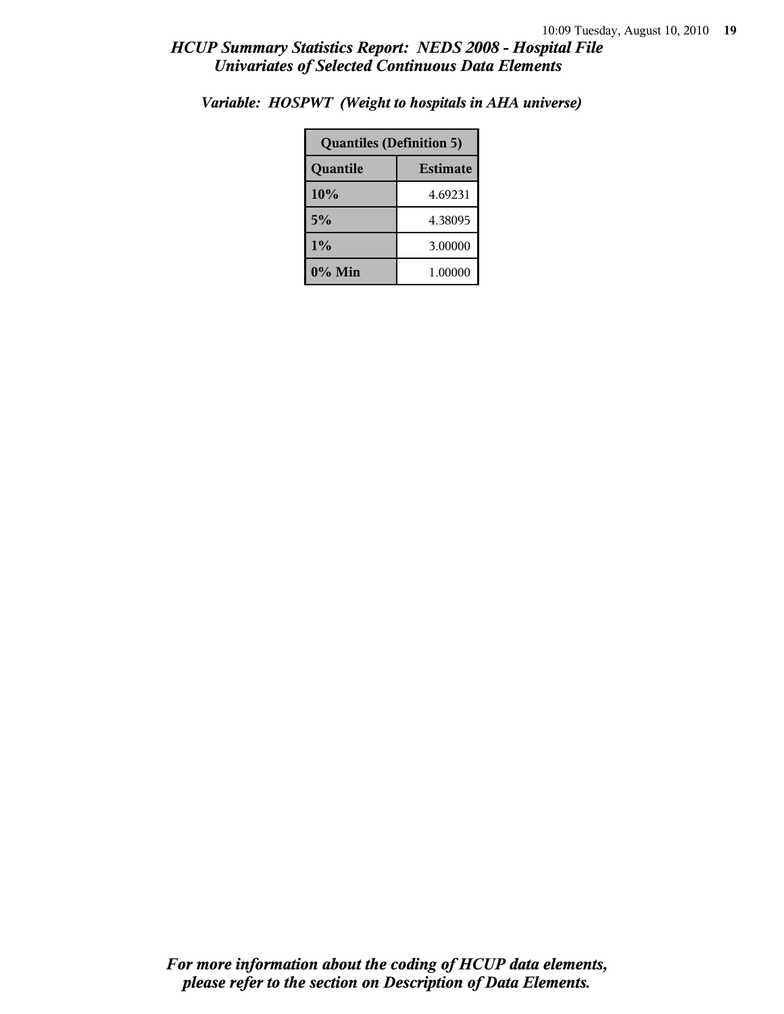| <b>Quantiles (Definition 5)</b> |         |  |
|---------------------------------|---------|--|
| <b>Estimate</b><br>Quantile     |         |  |
| 10%                             | 4.69231 |  |
| 5%<br>4.38095                   |         |  |
| 1%<br>3.00000                   |         |  |
| 0% Min                          | 1.00000 |  |

*Variable: HOSPWT (Weight to hospitals in AHA universe)*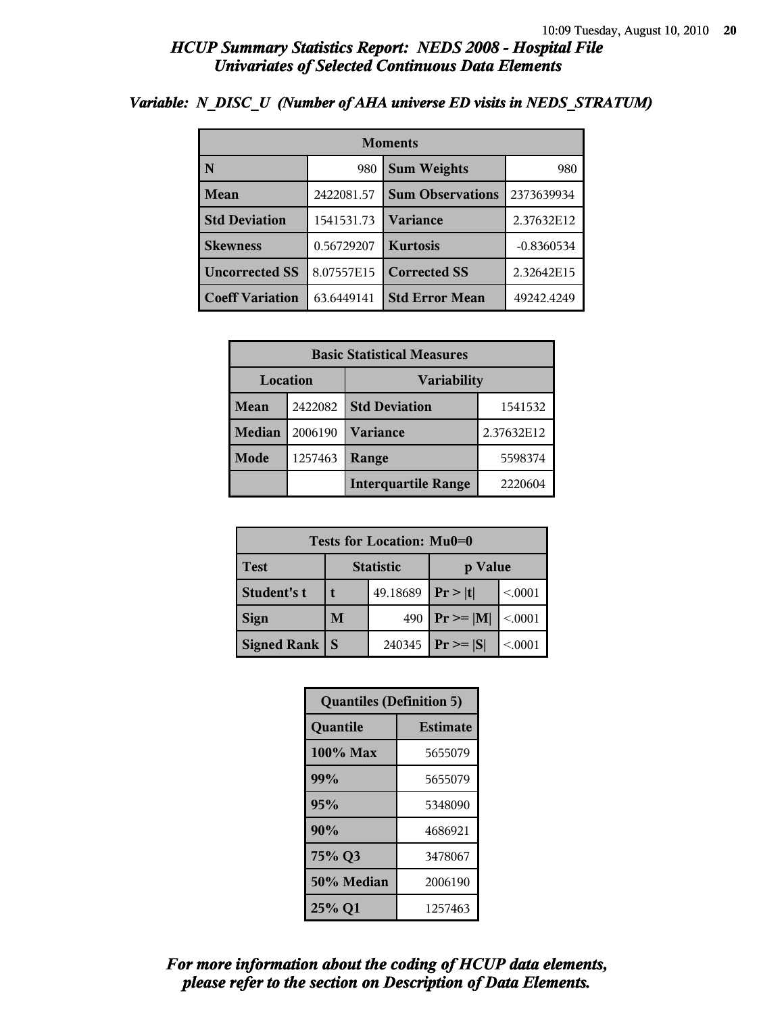| <b>Moments</b>         |            |                         |              |  |
|------------------------|------------|-------------------------|--------------|--|
| N                      | 980        | <b>Sum Weights</b>      |              |  |
| <b>Mean</b>            | 2422081.57 | <b>Sum Observations</b> | 2373639934   |  |
| <b>Std Deviation</b>   | 1541531.73 | <b>Variance</b>         | 2.37632E12   |  |
| <b>Skewness</b>        | 0.56729207 | <b>Kurtosis</b>         | $-0.8360534$ |  |
| <b>Uncorrected SS</b>  | 8.07557E15 | <b>Corrected SS</b>     | 2.32642E15   |  |
| <b>Coeff Variation</b> | 63.6449141 | <b>Std Error Mean</b>   | 49242.4249   |  |

## *Variable: N\_DISC\_U (Number of AHA universe ED visits in NEDS\_STRATUM)*

| <b>Basic Statistical Measures</b> |         |                                 |            |  |
|-----------------------------------|---------|---------------------------------|------------|--|
| Location<br><b>Variability</b>    |         |                                 |            |  |
| Mean                              | 2422082 | <b>Std Deviation</b><br>1541532 |            |  |
| <b>Median</b>                     | 2006190 | Variance                        | 2.37632E12 |  |
| Mode                              | 1257463 | Range                           | 5598374    |  |
|                                   |         | <b>Interquartile Range</b>      | 2220604    |  |

| Tests for Location: Mu0=0 |                             |          |                |         |  |
|---------------------------|-----------------------------|----------|----------------|---------|--|
| <b>Test</b>               | <b>Statistic</b><br>p Value |          |                |         |  |
| Student's t               | t                           | 49.18689 | Pr >  t        | < 0001  |  |
| <b>Sign</b>               | M<br>490                    |          | $P_r \geq  M $ | < 0.001 |  |
| <b>Signed Rank</b>        | S                           | 240345   | $Pr \geq  S $  | < 0001  |  |

| <b>Quantiles (Definition 5)</b> |                 |  |
|---------------------------------|-----------------|--|
| Quantile                        | <b>Estimate</b> |  |
| 100% Max                        | 5655079         |  |
| 99%                             | 5655079         |  |
| 95%                             | 5348090         |  |
| 90%                             | 4686921         |  |
| 75% Q3                          | 3478067         |  |
| 50% Median<br>2006190           |                 |  |
| 25% Q1                          | 1257463         |  |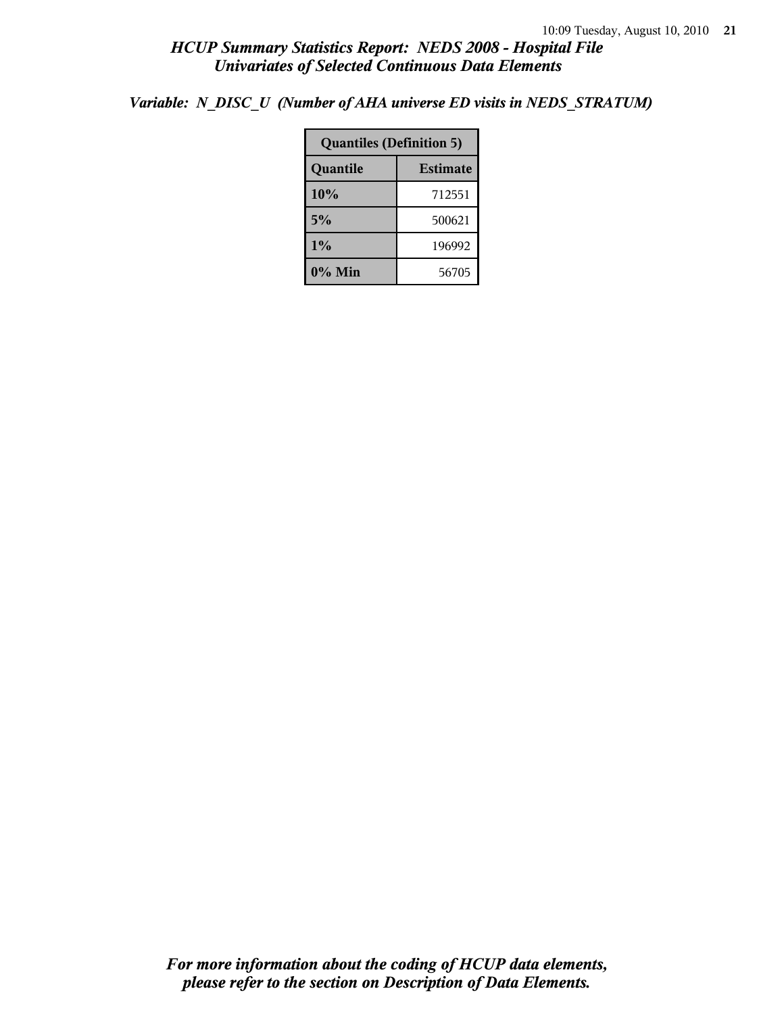*Variable: N\_DISC\_U (Number of AHA universe ED visits in NEDS\_STRATUM)*

| <b>Quantiles (Definition 5)</b> |        |  |  |
|---------------------------------|--------|--|--|
| <b>Estimate</b><br>Quantile     |        |  |  |
| 10%                             | 712551 |  |  |
| 5%                              | 500621 |  |  |
| $1\%$<br>196992                 |        |  |  |
| $0\%$ Min<br>56705              |        |  |  |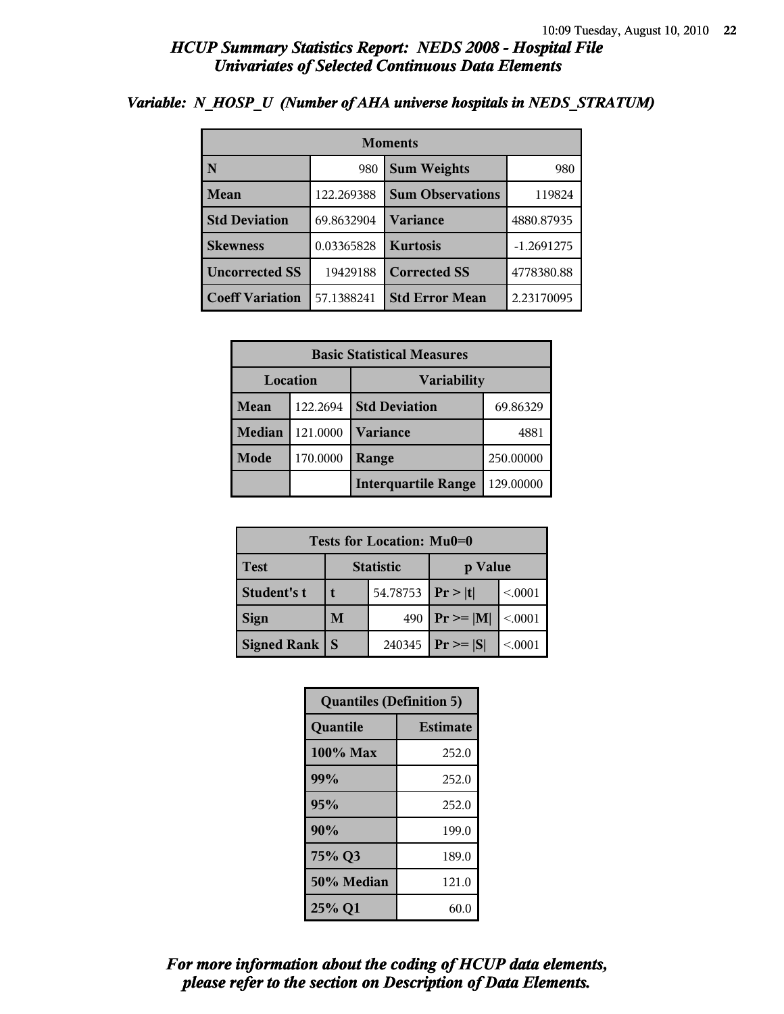| <b>Moments</b>         |            |                         |              |
|------------------------|------------|-------------------------|--------------|
| N                      | 980        | <b>Sum Weights</b>      | 980          |
| Mean                   | 122.269388 | <b>Sum Observations</b> | 119824       |
| <b>Std Deviation</b>   | 69.8632904 | <b>Variance</b>         | 4880.87935   |
| <b>Skewness</b>        | 0.03365828 | <b>Kurtosis</b>         | $-1.2691275$ |
| <b>Uncorrected SS</b>  | 19429188   | <b>Corrected SS</b>     | 4778380.88   |
| <b>Coeff Variation</b> | 57.1388241 | <b>Std Error Mean</b>   | 2.23170095   |

### *Variable: N\_HOSP\_U (Number of AHA universe hospitals in NEDS\_STRATUM)*

| <b>Basic Statistical Measures</b> |          |                            |           |  |
|-----------------------------------|----------|----------------------------|-----------|--|
| Location<br><b>Variability</b>    |          |                            |           |  |
| <b>Mean</b>                       | 122.2694 | <b>Std Deviation</b>       | 69.86329  |  |
| <b>Median</b>                     | 121.0000 | <b>Variance</b>            | 4881      |  |
| Mode                              | 170.0000 | Range                      | 250.00000 |  |
|                                   |          | <b>Interquartile Range</b> | 129.00000 |  |

| Tests for Location: Mu0=0 |                             |          |               |         |  |
|---------------------------|-----------------------------|----------|---------------|---------|--|
| <b>Test</b>               | <b>Statistic</b><br>p Value |          |               |         |  |
| <b>Student's t</b>        |                             | 54.78753 | Pr> t         | < 0001  |  |
| <b>Sign</b>               | M<br>490                    |          | $Pr \geq  M $ | < 0.001 |  |
| <b>Signed Rank</b>        | S                           | 240345   | $Pr \geq  S $ | < 0001  |  |

| <b>Quantiles (Definition 5)</b> |                 |  |
|---------------------------------|-----------------|--|
| Quantile                        | <b>Estimate</b> |  |
| 100% Max                        | 252.0           |  |
| 99%                             | 252.0           |  |
| 95%                             | 252.0           |  |
| 90%                             | 199.0           |  |
| 75% Q3                          | 189.0           |  |
| 50% Median                      | 121.0           |  |
| 25% Q1                          | 60.0            |  |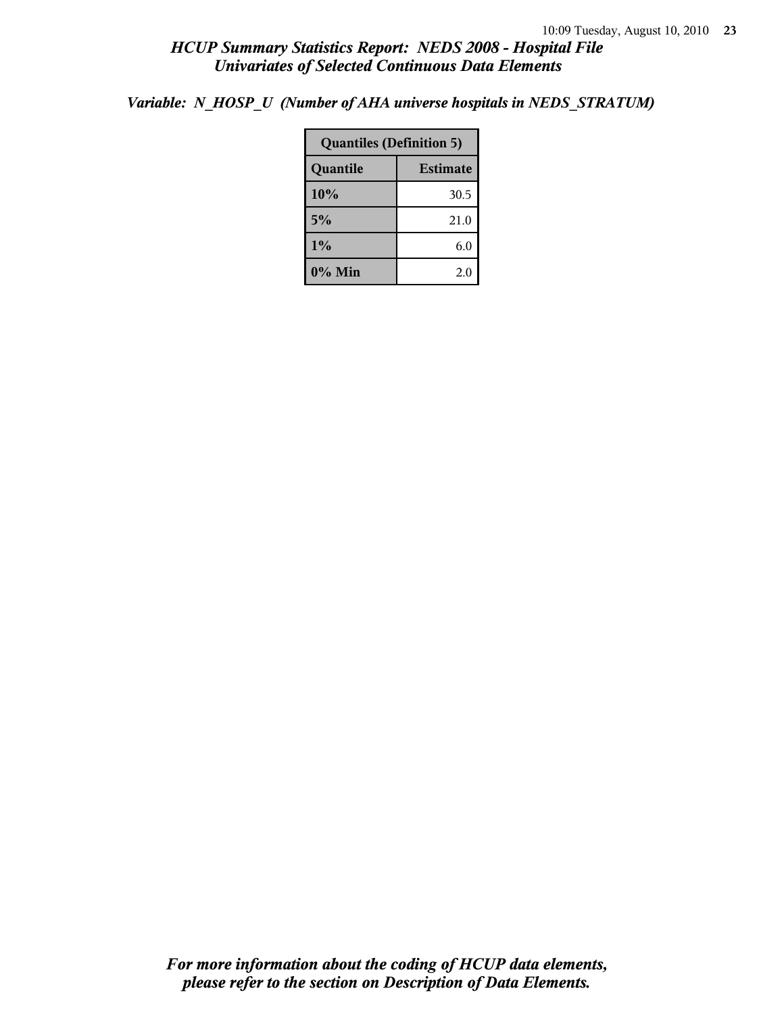*Variable: N\_HOSP\_U (Number of AHA universe hospitals in NEDS\_STRATUM)*

| <b>Quantiles (Definition 5)</b> |      |  |
|---------------------------------|------|--|
| Quantile<br><b>Estimate</b>     |      |  |
| 10%                             | 30.5 |  |
| 5%                              | 21.0 |  |
| 1%                              | 6.0  |  |
| $0\%$ Min<br>2.0                |      |  |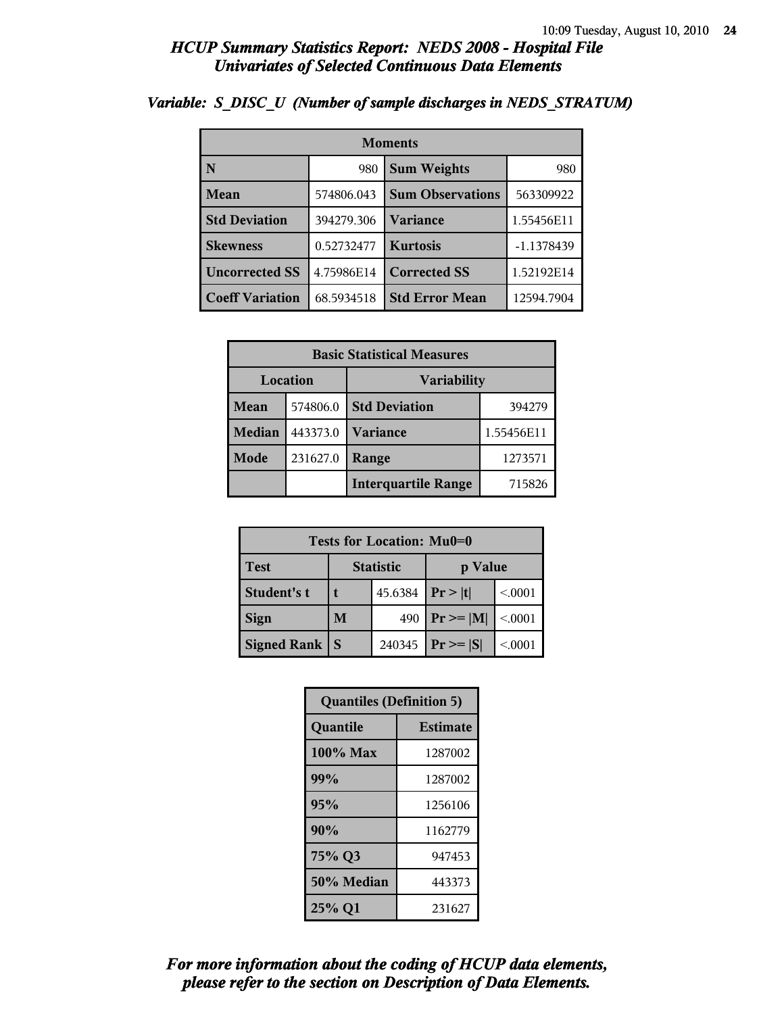| <b>Moments</b>         |            |                         |            |  |
|------------------------|------------|-------------------------|------------|--|
| N                      | 980        | <b>Sum Weights</b>      | 980        |  |
| Mean                   | 574806.043 | <b>Sum Observations</b> | 563309922  |  |
| <b>Std Deviation</b>   | 394279.306 | Variance                | 1.55456E11 |  |
| <b>Skewness</b>        | 0.52732477 | <b>Kurtosis</b>         | -1.1378439 |  |
| <b>Uncorrected SS</b>  | 4.75986E14 | <b>Corrected SS</b>     | 1.52192E14 |  |
| <b>Coeff Variation</b> | 68.5934518 | <b>Std Error Mean</b>   | 12594.7904 |  |

### *Variable: S\_DISC\_U (Number of sample discharges in NEDS\_STRATUM)*

| <b>Basic Statistical Measures</b> |          |                            |            |  |  |
|-----------------------------------|----------|----------------------------|------------|--|--|
| Location<br><b>Variability</b>    |          |                            |            |  |  |
| <b>Mean</b>                       | 574806.0 | <b>Std Deviation</b>       | 394279     |  |  |
| <b>Median</b>                     | 443373.0 | <b>Variance</b>            | 1.55456E11 |  |  |
| Mode                              | 231627.0 | Range                      | 1273571    |  |  |
|                                   |          | <b>Interquartile Range</b> | 715826     |  |  |

| Tests for Location: Mu0=0 |                             |         |                    |         |  |  |
|---------------------------|-----------------------------|---------|--------------------|---------|--|--|
| <b>Test</b>               | <b>Statistic</b><br>p Value |         |                    |         |  |  |
| Student's t               |                             | 45.6384 | Pr >  t <br>< 0001 |         |  |  |
| <b>Sign</b>               | M                           | 490     | $Pr \ge =  M $     | < 0.001 |  |  |
| <b>Signed Rank</b>        | S                           | 240345  | $Pr \geq  S $      | < 0001  |  |  |

| <b>Quantiles (Definition 5)</b> |         |  |  |
|---------------------------------|---------|--|--|
| Quantile<br><b>Estimate</b>     |         |  |  |
| 100% Max                        | 1287002 |  |  |
| 99%                             | 1287002 |  |  |
| 95%                             | 1256106 |  |  |
| 90%                             | 1162779 |  |  |
| 75% Q3                          | 947453  |  |  |
| 50% Median                      | 443373  |  |  |
| 25% Q1<br>231627                |         |  |  |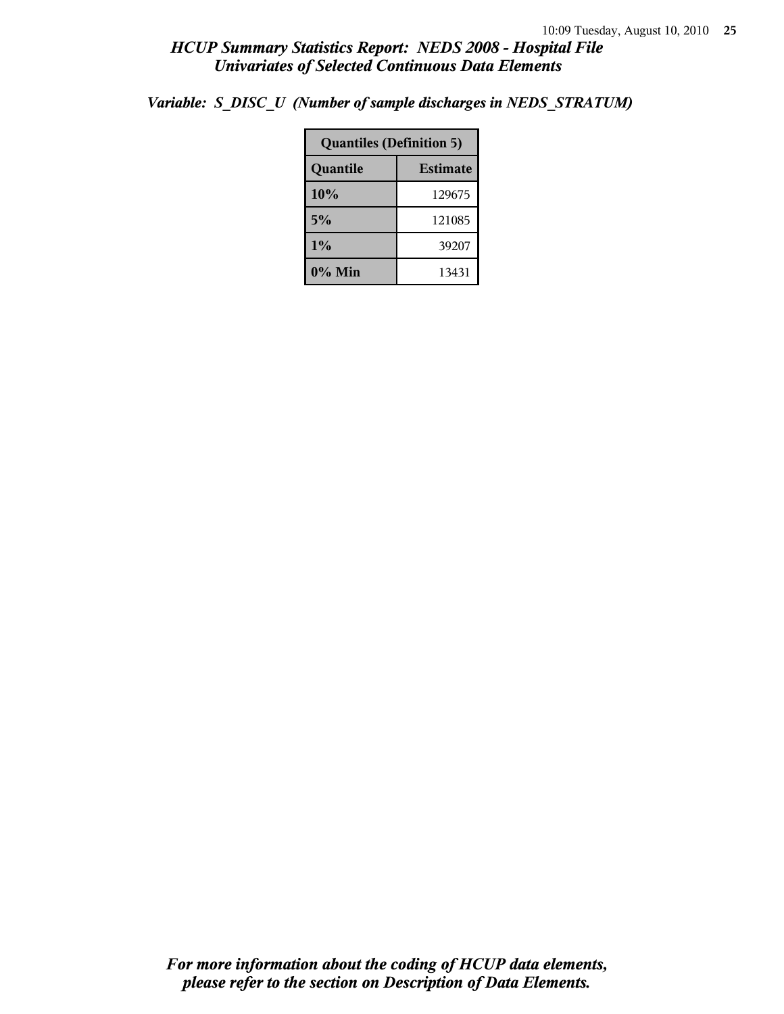| <b>Quantiles (Definition 5)</b> |        |  |
|---------------------------------|--------|--|
| <b>Estimate</b><br>Quantile     |        |  |
| 10%                             | 129675 |  |
| 5%                              | 121085 |  |
| 1%                              | 39207  |  |
| $0\%$ Min<br>13431              |        |  |

*Variable: S\_DISC\_U (Number of sample discharges in NEDS\_STRATUM)*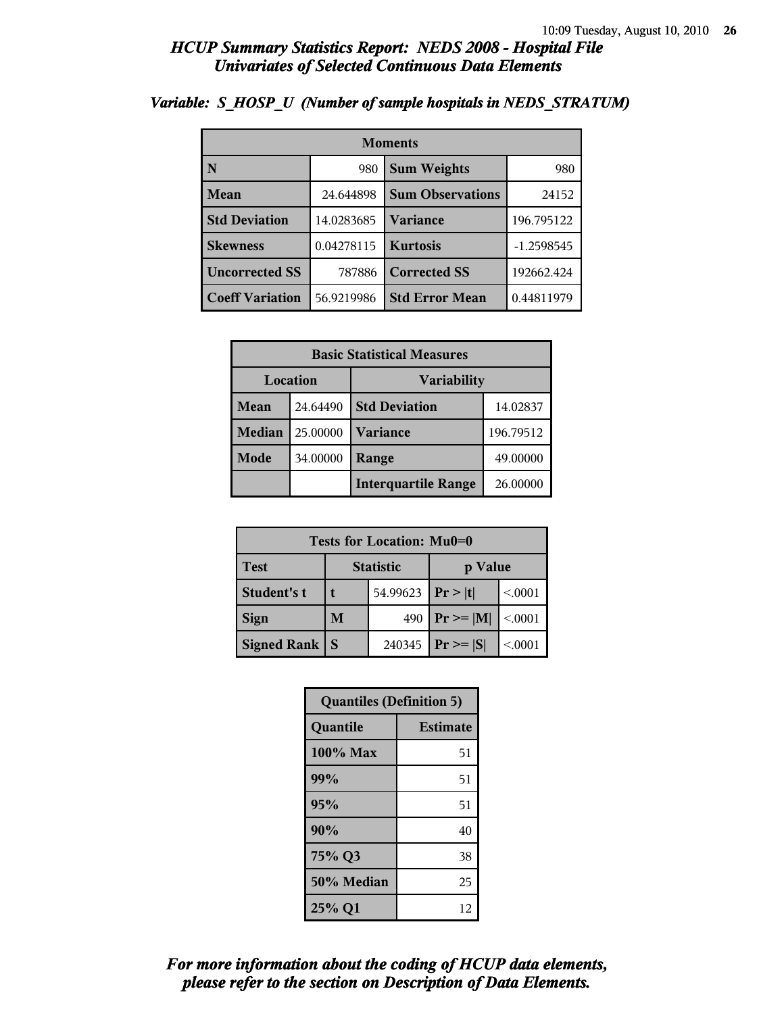| <b>Moments</b>                     |            |                         |              |  |  |
|------------------------------------|------------|-------------------------|--------------|--|--|
| N                                  | 980        | <b>Sum Weights</b>      | 980          |  |  |
| Mean                               | 24.644898  | <b>Sum Observations</b> | 24152        |  |  |
| <b>Std Deviation</b><br>14.0283685 |            | Variance                | 196.795122   |  |  |
| <b>Skewness</b>                    | 0.04278115 | <b>Kurtosis</b>         | $-1.2598545$ |  |  |
| <b>Uncorrected SS</b><br>787886    |            | <b>Corrected SS</b>     | 192662.424   |  |  |
| <b>Coeff Variation</b>             | 56.9219986 | <b>Std Error Mean</b>   | 0.44811979   |  |  |

### *Variable: S\_HOSP\_U (Number of sample hospitals in NEDS\_STRATUM)*

| <b>Basic Statistical Measures</b> |          |                            |           |  |  |
|-----------------------------------|----------|----------------------------|-----------|--|--|
| Location<br><b>Variability</b>    |          |                            |           |  |  |
| Mean                              | 24.64490 | <b>Std Deviation</b>       | 14.02837  |  |  |
| <b>Median</b>                     | 25.00000 | <b>Variance</b>            | 196.79512 |  |  |
| Mode                              | 34.00000 | Range                      | 49.00000  |  |  |
|                                   |          | <b>Interquartile Range</b> | 26.00000  |  |  |

| Tests for Location: Mu0=0 |                             |        |                |         |  |  |
|---------------------------|-----------------------------|--------|----------------|---------|--|--|
| Test                      | <b>Statistic</b><br>p Value |        |                |         |  |  |
| Student's t               | 54.99623                    |        | Pr >  t        | < 0.001 |  |  |
| <b>Sign</b>               | M                           | 490    | $P_r \geq  M $ | < 0.001 |  |  |
| <b>Signed Rank</b>        | S                           | 240345 | $Pr \geq  S $  | < 0.001 |  |  |

| <b>Quantiles (Definition 5)</b> |                 |  |  |
|---------------------------------|-----------------|--|--|
| Quantile                        | <b>Estimate</b> |  |  |
| 100% Max                        | 51              |  |  |
| 99%                             | 51              |  |  |
| 95%                             | 51              |  |  |
| 90%                             | 40              |  |  |
| 75% Q3                          | 38              |  |  |
| 50% Median                      | 25              |  |  |
| 25% Q1                          | 12              |  |  |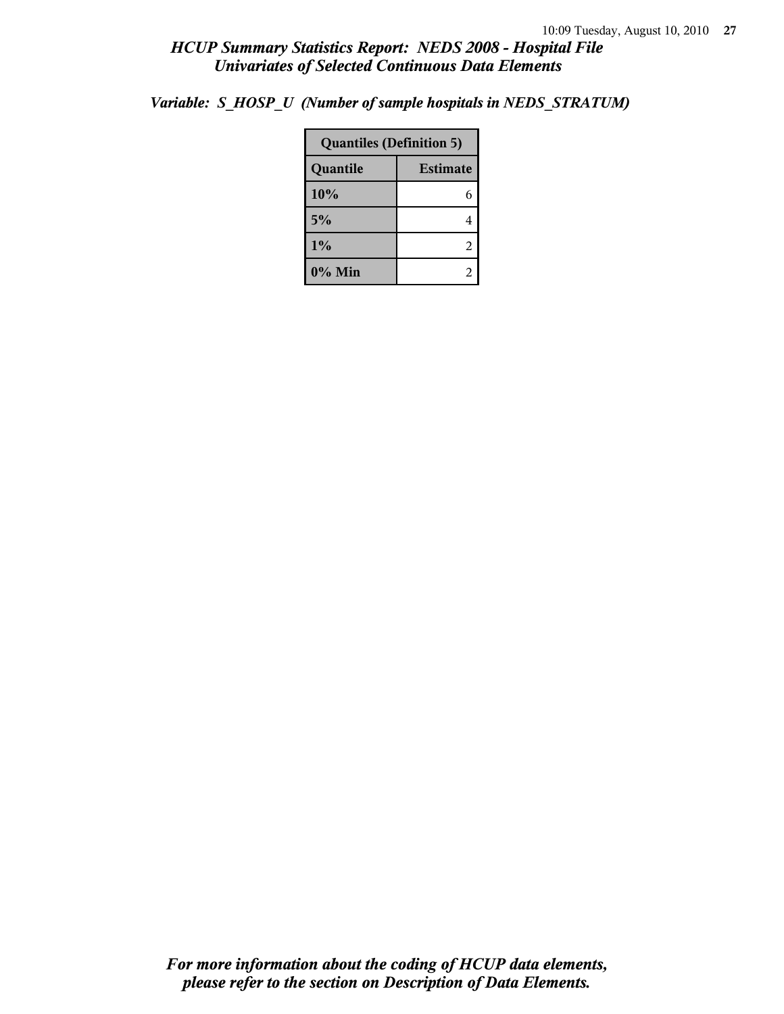| <b>Quantiles (Definition 5)</b> |  |  |  |
|---------------------------------|--|--|--|
| <b>Estimate</b><br>Quantile     |  |  |  |
| 10%                             |  |  |  |
| 5%                              |  |  |  |

**1%** 2 **0% Min** 2

*Variable: S\_HOSP\_U (Number of sample hospitals in NEDS\_STRATUM)*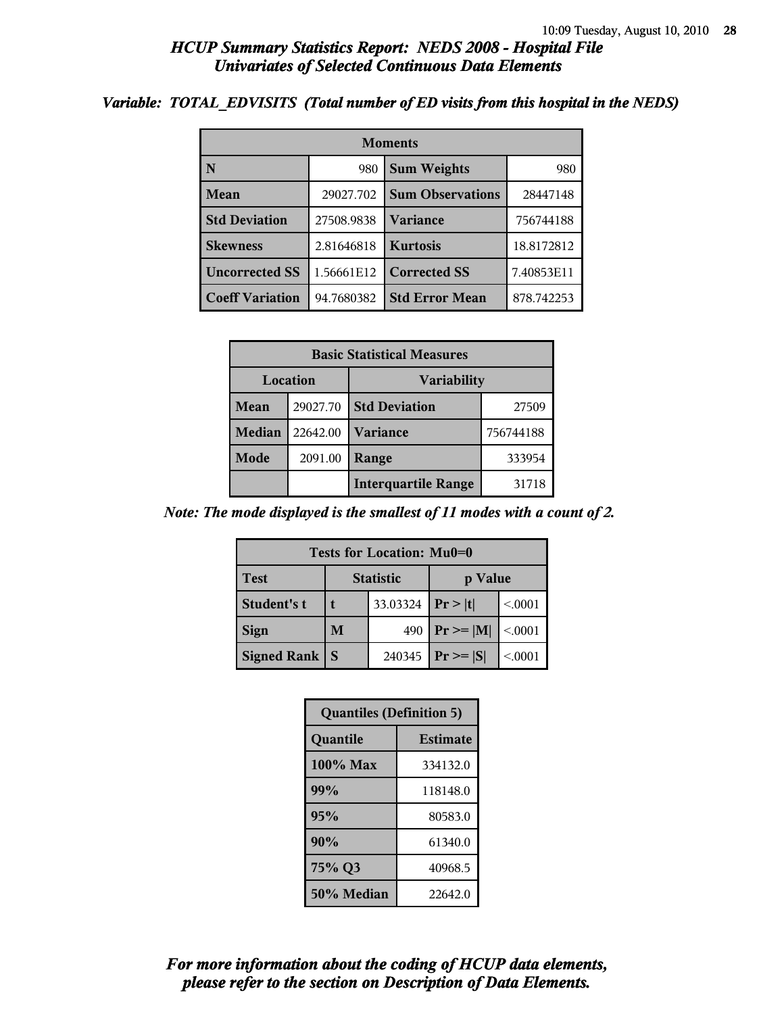#### *Variable: TOTAL\_EDVISITS (Total number of ED visits from this hospital in the NEDS)*

| <b>Moments</b>                     |            |                         |            |  |  |
|------------------------------------|------------|-------------------------|------------|--|--|
| $\overline{\mathbf{N}}$            | 980        | <b>Sum Weights</b>      | 980        |  |  |
| Mean                               | 29027.702  | <b>Sum Observations</b> | 28447148   |  |  |
| <b>Std Deviation</b><br>27508.9838 |            | <b>Variance</b>         | 756744188  |  |  |
| <b>Skewness</b><br>2.81646818      |            | <b>Kurtosis</b>         | 18.8172812 |  |  |
| <b>Uncorrected SS</b>              | 1.56661E12 | <b>Corrected SS</b>     | 7.40853E11 |  |  |
| <b>Coeff Variation</b>             | 94.7680382 | <b>Std Error Mean</b>   | 878.742253 |  |  |

| <b>Basic Statistical Measures</b> |          |                            |           |  |
|-----------------------------------|----------|----------------------------|-----------|--|
| Location<br><b>Variability</b>    |          |                            |           |  |
| Mean                              | 29027.70 | <b>Std Deviation</b>       | 27509     |  |
| <b>Median</b>                     | 22642.00 | <b>Variance</b>            | 756744188 |  |
| Mode                              | 2091.00  | Range                      | 333954    |  |
|                                   |          | <b>Interquartile Range</b> | 31718     |  |

*Note: The mode displayed is the smallest of 11 modes with a count of 2.*

| <b>Tests for Location: Mu0=0</b> |                             |          |                 |         |  |  |
|----------------------------------|-----------------------------|----------|-----------------|---------|--|--|
| <b>Test</b>                      | <b>Statistic</b><br>p Value |          |                 |         |  |  |
| Student's t                      |                             | 33.03324 | Pr >  t         | < 0001  |  |  |
| <b>Sign</b>                      | M                           | 490      | $Pr \geq =  M $ | < 0.001 |  |  |
| <b>Signed Rank</b>               | S                           | 240345   | $Pr \geq  S $   | < 0001  |  |  |

| <b>Quantiles (Definition 5)</b> |                 |
|---------------------------------|-----------------|
| Quantile                        | <b>Estimate</b> |
| 100% Max                        | 334132.0        |
| 99%                             | 118148.0        |
| 95%                             | 80583.0         |
| 90%                             | 61340.0         |
| 75% Q3                          | 40968.5         |
| 50% Median                      | 22642.0         |